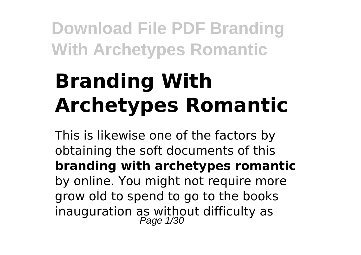# **Branding With Archetypes Romantic**

This is likewise one of the factors by obtaining the soft documents of this **branding with archetypes romantic** by online. You might not require more grow old to spend to go to the books inauguration as without difficulty as<br>Page  $1/30$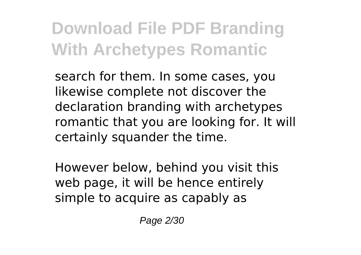search for them. In some cases, you likewise complete not discover the declaration branding with archetypes romantic that you are looking for. It will certainly squander the time.

However below, behind you visit this web page, it will be hence entirely simple to acquire as capably as

Page 2/30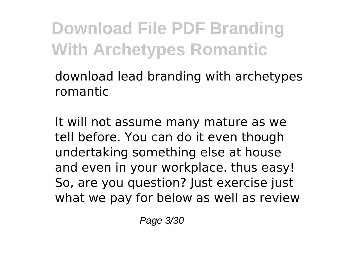download lead branding with archetypes romantic

It will not assume many mature as we tell before. You can do it even though undertaking something else at house and even in your workplace. thus easy! So, are you question? Just exercise just what we pay for below as well as review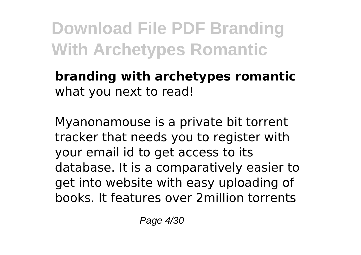#### **branding with archetypes romantic** what you next to read!

Myanonamouse is a private bit torrent tracker that needs you to register with your email id to get access to its database. It is a comparatively easier to get into website with easy uploading of books. It features over 2million torrents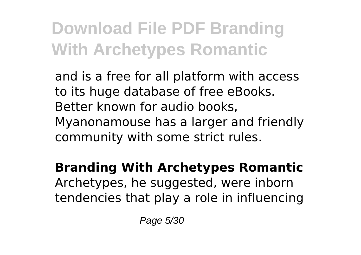and is a free for all platform with access to its huge database of free eBooks. Better known for audio books, Myanonamouse has a larger and friendly community with some strict rules.

**Branding With Archetypes Romantic** Archetypes, he suggested, were inborn tendencies that play a role in influencing

Page 5/30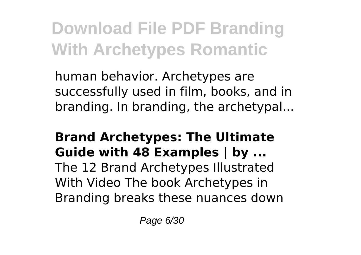human behavior. Archetypes are successfully used in film, books, and in branding. In branding, the archetypal...

### **Brand Archetypes: The Ultimate Guide with 48 Examples | by ...**

The 12 Brand Archetypes Illustrated With Video The book Archetypes in Branding breaks these nuances down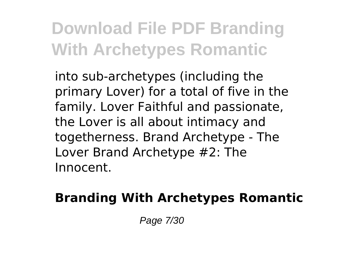into sub-archetypes (including the primary Lover) for a total of five in the family. Lover Faithful and passionate, the Lover is all about intimacy and togetherness. Brand Archetype - The Lover Brand Archetype #2: The Innocent.

### **Branding With Archetypes Romantic**

Page 7/30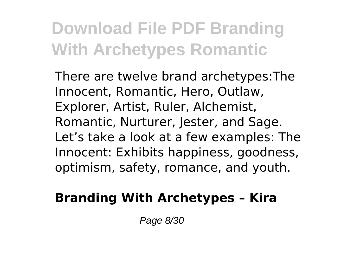There are twelve brand archetypes:The Innocent, Romantic, Hero, Outlaw, Explorer, Artist, Ruler, Alchemist, Romantic, Nurturer, Jester, and Sage. Let's take a look at a few examples: The Innocent: Exhibits happiness, goodness, optimism, safety, romance, and youth.

### **Branding With Archetypes – Kira**

Page 8/30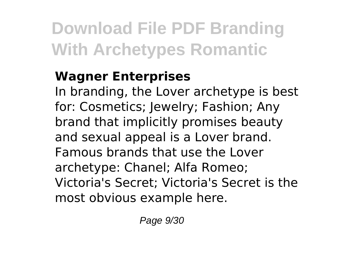### **Wagner Enterprises**

In branding, the Lover archetype is best for: Cosmetics; Jewelry; Fashion; Any brand that implicitly promises beauty and sexual appeal is a Lover brand. Famous brands that use the Lover archetype: Chanel; Alfa Romeo; Victoria's Secret; Victoria's Secret is the most obvious example here.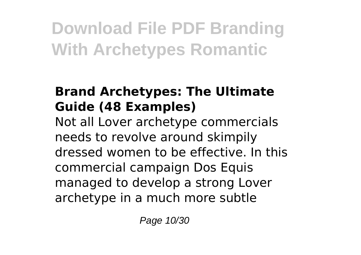### **Brand Archetypes: The Ultimate Guide (48 Examples)**

Not all Lover archetype commercials needs to revolve around skimpily dressed women to be effective. In this commercial campaign Dos Equis managed to develop a strong Lover archetype in a much more subtle

Page 10/30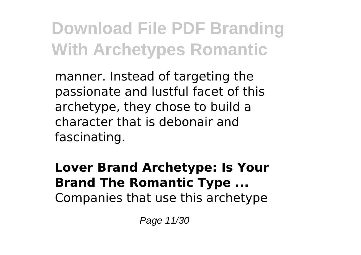manner. Instead of targeting the passionate and lustful facet of this archetype, they chose to build a character that is debonair and fascinating.

**Lover Brand Archetype: Is Your Brand The Romantic Type ...** Companies that use this archetype

Page 11/30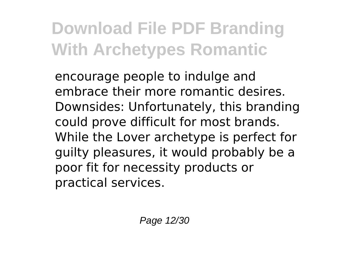encourage people to indulge and embrace their more romantic desires. Downsides: Unfortunately, this branding could prove difficult for most brands. While the Lover archetype is perfect for guilty pleasures, it would probably be a poor fit for necessity products or practical services.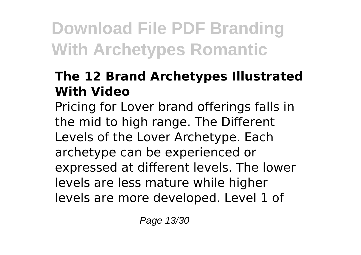#### **The 12 Brand Archetypes Illustrated With Video**

Pricing for Lover brand offerings falls in the mid to high range. The Different Levels of the Lover Archetype. Each archetype can be experienced or expressed at different levels. The lower levels are less mature while higher levels are more developed. Level 1 of

Page 13/30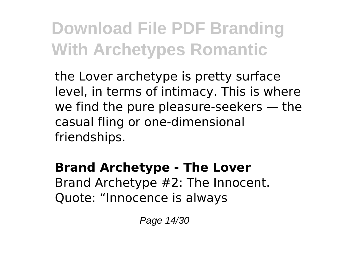the Lover archetype is pretty surface level, in terms of intimacy. This is where we find the pure pleasure-seekers — the casual fling or one-dimensional friendships.

**Brand Archetype - The Lover** Brand Archetype #2: The Innocent. Quote: "Innocence is always

Page 14/30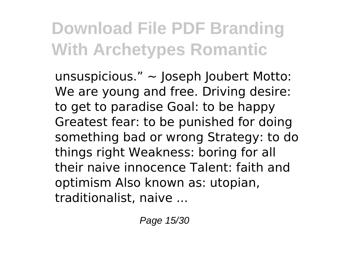unsuspicious."  $\sim$  Joseph Joubert Motto: We are young and free. Driving desire: to get to paradise Goal: to be happy Greatest fear: to be punished for doing something bad or wrong Strategy: to do things right Weakness: boring for all their naive innocence Talent: faith and optimism Also known as: utopian, traditionalist, naive ...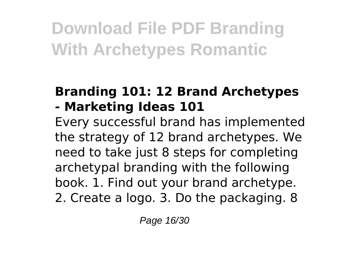#### **Branding 101: 12 Brand Archetypes - Marketing Ideas 101**

Every successful brand has implemented the strategy of 12 brand archetypes. We need to take just 8 steps for completing archetypal branding with the following book. 1. Find out your brand archetype. 2. Create a logo. 3. Do the packaging. 8

Page 16/30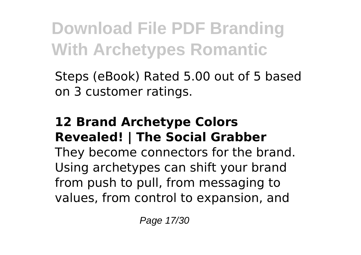Steps (eBook) Rated 5.00 out of 5 based on 3 customer ratings.

#### **12 Brand Archetype Colors Revealed! | The Social Grabber**

They become connectors for the brand. Using archetypes can shift your brand from push to pull, from messaging to values, from control to expansion, and

Page 17/30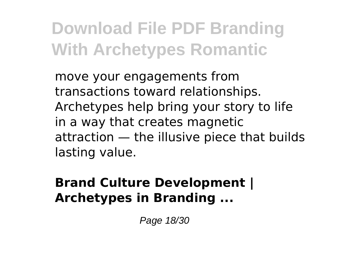move your engagements from transactions toward relationships. Archetypes help bring your story to life in a way that creates magnetic attraction — the illusive piece that builds lasting value.

### **Brand Culture Development | Archetypes in Branding ...**

Page 18/30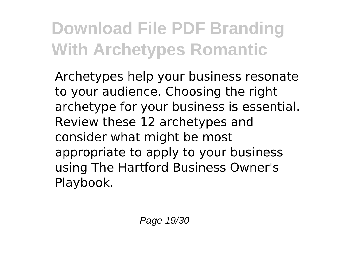Archetypes help your business resonate to your audience. Choosing the right archetype for your business is essential. Review these 12 archetypes and consider what might be most appropriate to apply to your business using The Hartford Business Owner's Playbook.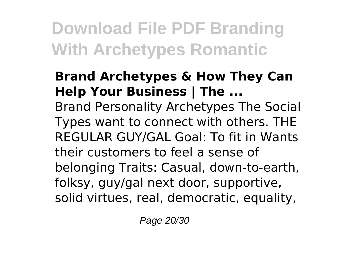#### **Brand Archetypes & How They Can Help Your Business | The ...** Brand Personality Archetypes The Social Types want to connect with others. THE REGULAR GUY/GAL Goal: To fit in Wants their customers to feel a sense of belonging Traits: Casual, down-to-earth, folksy, guy/gal next door, supportive, solid virtues, real, democratic, equality,

Page 20/30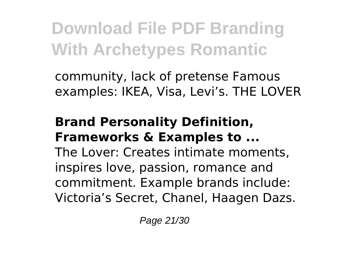community, lack of pretense Famous examples: IKEA, Visa, Levi's. THE LOVER

#### **Brand Personality Definition, Frameworks & Examples to ...**

The Lover: Creates intimate moments, inspires love, passion, romance and commitment. Example brands include: Victoria's Secret, Chanel, Haagen Dazs.

Page 21/30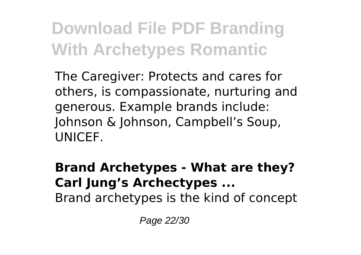The Caregiver: Protects and cares for others, is compassionate, nurturing and generous. Example brands include: Johnson & Johnson, Campbell's Soup, **UNICEF.** 

#### **Brand Archetypes - What are they? Carl Jung's Archectypes ...** Brand archetypes is the kind of concept

Page 22/30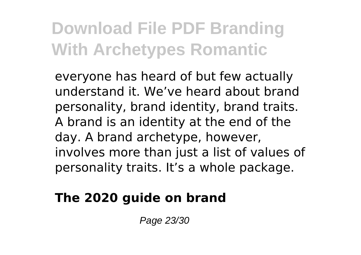everyone has heard of but few actually understand it. We've heard about brand personality, brand identity, brand traits. A brand is an identity at the end of the day. A brand archetype, however, involves more than just a list of values of personality traits. It's a whole package.

### **The 2020 guide on brand**

Page 23/30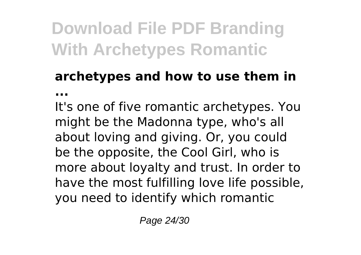### **archetypes and how to use them in ...**

It's one of five romantic archetypes. You might be the Madonna type, who's all about loving and giving. Or, you could be the opposite, the Cool Girl, who is more about loyalty and trust. In order to have the most fulfilling love life possible, you need to identify which romantic

Page 24/30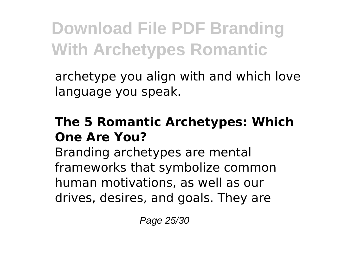archetype you align with and which love language you speak.

#### **The 5 Romantic Archetypes: Which One Are You?**

Branding archetypes are mental frameworks that symbolize common human motivations, as well as our drives, desires, and goals. They are

Page 25/30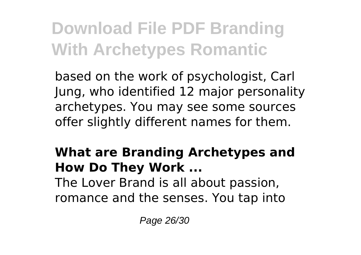based on the work of psychologist, Carl Jung, who identified 12 major personality archetypes. You may see some sources offer slightly different names for them.

## **What are Branding Archetypes and How Do They Work ...**

The Lover Brand is all about passion, romance and the senses. You tap into

Page 26/30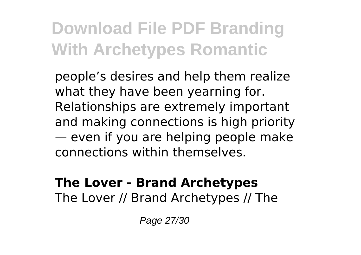people's desires and help them realize what they have been yearning for. Relationships are extremely important and making connections is high priority — even if you are helping people make connections within themselves.

#### **The Lover - Brand Archetypes** The Lover // Brand Archetypes // The

Page 27/30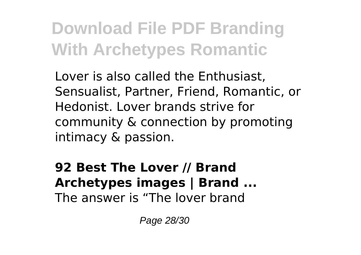Lover is also called the Enthusiast, Sensualist, Partner, Friend, Romantic, or Hedonist. Lover brands strive for community & connection by promoting intimacy & passion.

#### **92 Best The Lover // Brand Archetypes images | Brand ...** The answer is "The lover brand

Page 28/30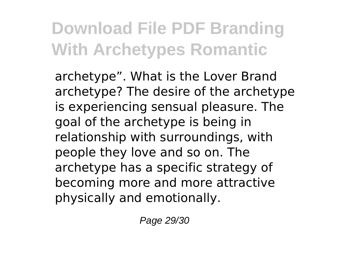archetype". What is the Lover Brand archetype? The desire of the archetype is experiencing sensual pleasure. The goal of the archetype is being in relationship with surroundings, with people they love and so on. The archetype has a specific strategy of becoming more and more attractive physically and emotionally.